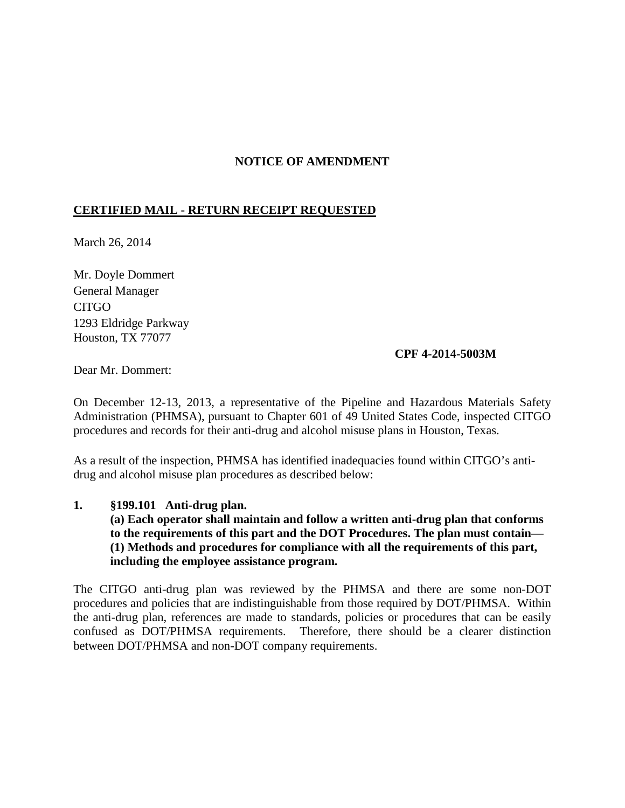## **NOTICE OF AMENDMENT**

# **CERTIFIED MAIL - RETURN RECEIPT REQUESTED**

March 26, 2014

Mr. Doyle Dommert General Manager CITGO 1293 Eldridge Parkway Houston, TX 77077

#### **CPF 4-2014-5003M**

Dear Mr. Dommert:

On December 12-13, 2013, a representative of the Pipeline and Hazardous Materials Safety Administration (PHMSA), pursuant to Chapter 601 of 49 United States Code, inspected CITGO procedures and records for their anti-drug and alcohol misuse plans in Houston, Texas.

As a result of the inspection, PHMSA has identified inadequacies found within CITGO's antidrug and alcohol misuse plan procedures as described below:

**1. §199.101 Anti-drug plan.**

**(a) Each operator shall maintain and follow a written anti-drug plan that conforms to the requirements of this part and the DOT Procedures. The plan must contain— (1) Methods and procedures for compliance with all the requirements of this part, including the employee assistance program.**

The CITGO anti-drug plan was reviewed by the PHMSA and there are some non-DOT procedures and policies that are indistinguishable from those required by DOT/PHMSA. Within the anti-drug plan, references are made to standards, policies or procedures that can be easily confused as DOT/PHMSA requirements. Therefore, there should be a clearer distinction between DOT/PHMSA and non-DOT company requirements.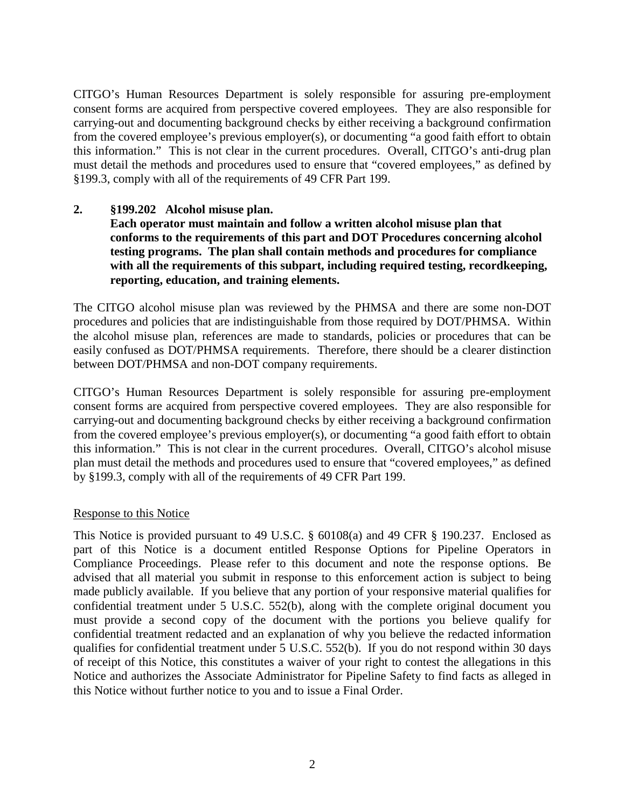CITGO's Human Resources Department is solely responsible for assuring pre-employment consent forms are acquired from perspective covered employees. They are also responsible for carrying-out and documenting background checks by either receiving a background confirmation from the covered employee's previous employer(s), or documenting "a good faith effort to obtain this information." This is not clear in the current procedures. Overall, CITGO's anti-drug plan must detail the methods and procedures used to ensure that "covered employees," as defined by §199.3, comply with all of the requirements of 49 CFR Part 199.

## **2. §199.202 Alcohol misuse plan.**

**Each operator must maintain and follow a written alcohol misuse plan that conforms to the requirements of this part and DOT Procedures concerning alcohol testing programs. The plan shall contain methods and procedures for compliance with all the requirements of this subpart, including required testing, recordkeeping, reporting, education, and training elements.**

The CITGO alcohol misuse plan was reviewed by the PHMSA and there are some non-DOT procedures and policies that are indistinguishable from those required by DOT/PHMSA. Within the alcohol misuse plan, references are made to standards, policies or procedures that can be easily confused as DOT/PHMSA requirements. Therefore, there should be a clearer distinction between DOT/PHMSA and non-DOT company requirements.

CITGO's Human Resources Department is solely responsible for assuring pre-employment consent forms are acquired from perspective covered employees. They are also responsible for carrying-out and documenting background checks by either receiving a background confirmation from the covered employee's previous employer(s), or documenting "a good faith effort to obtain this information." This is not clear in the current procedures. Overall, CITGO's alcohol misuse plan must detail the methods and procedures used to ensure that "covered employees," as defined by §199.3, comply with all of the requirements of 49 CFR Part 199.

## Response to this Notice

This Notice is provided pursuant to 49 U.S.C. § 60108(a) and 49 CFR § 190.237. Enclosed as part of this Notice is a document entitled Response Options for Pipeline Operators in Compliance Proceedings. Please refer to this document and note the response options. Be advised that all material you submit in response to this enforcement action is subject to being made publicly available. If you believe that any portion of your responsive material qualifies for confidential treatment under 5 U.S.C. 552(b), along with the complete original document you must provide a second copy of the document with the portions you believe qualify for confidential treatment redacted and an explanation of why you believe the redacted information qualifies for confidential treatment under 5 U.S.C. 552(b). If you do not respond within 30 days of receipt of this Notice, this constitutes a waiver of your right to contest the allegations in this Notice and authorizes the Associate Administrator for Pipeline Safety to find facts as alleged in this Notice without further notice to you and to issue a Final Order.